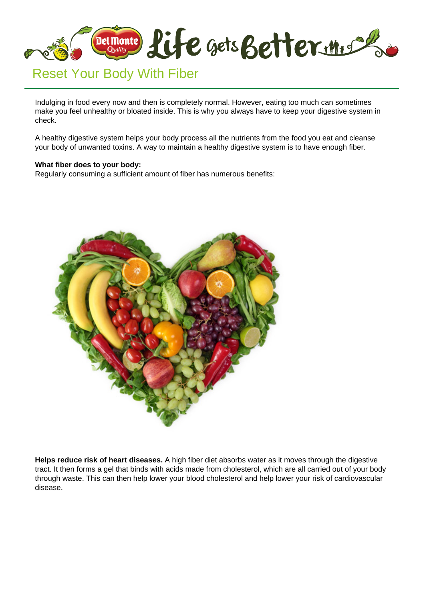

Indulging in food every now and then is completely normal. However, eating too much can sometimes make you feel unhealthy or bloated inside. This is why you always have to keep your digestive system in check.

A healthy digestive system helps your body process all the nutrients from the food you eat and cleanse your body of unwanted toxins. A way to maintain a healthy digestive system is to have enough fiber.

## **What fiber does to your body:**

Regularly consuming a sufficient amount of fiber has numerous benefits:



**Helps reduce risk of heart diseases.** A high fiber diet absorbs water as it moves through the digestive tract. It then forms a gel that binds with acids made from cholesterol, which are all carried out of your body through waste. This can then help lower your blood cholesterol and help lower your risk of cardiovascular disease.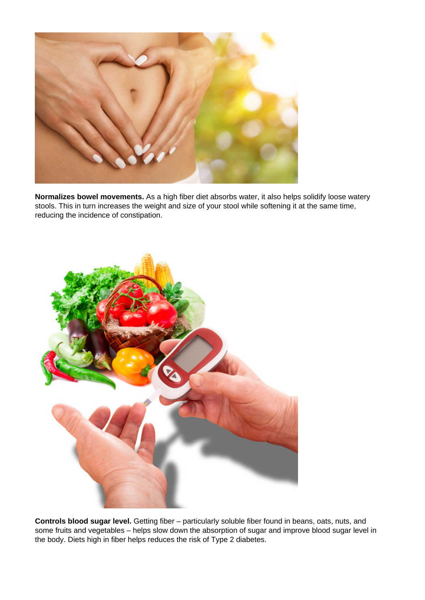

**Normalizes bowel movements.** As a high fiber diet absorbs water, it also helps solidify loose watery stools. This in turn increases the weight and size of your stool while softening it at the same time, reducing the incidence of constipation.



**Controls blood sugar level.** Getting fiber – particularly soluble fiber found in beans, oats, nuts, and some fruits and vegetables – helps slow down the absorption of sugar and improve blood sugar level in the body. Diets high in fiber helps reduces the risk of Type 2 diabetes.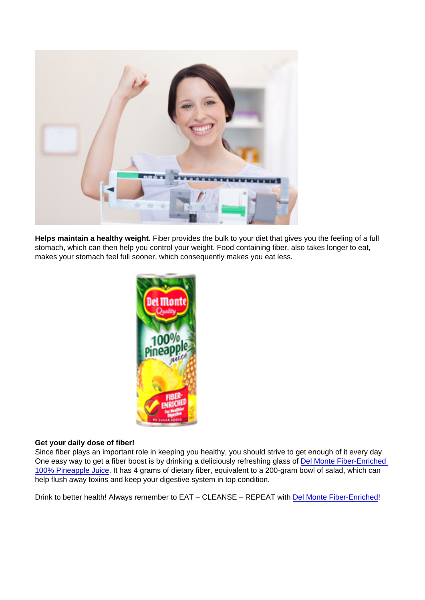Helps maintain a healthy weight. Fiber provides the bulk to your diet that gives you the feeling of a full stomach, which can then help you control your weight. Food containing fiber, also takes longer to eat, makes your stomach feel full sooner, which consequently makes you eat less.

## Get your daily dose of fiber!

Since fiber plays an important role in keeping you healthy, you should strive to get enough of it every day. One easy way to get a fiber boost is by drinking a deliciously refreshing glass of [Del Monte Fiber-Enriched](http://lifegetsbetter.ph/our-products/beverages/del-monte-100-juice/5/del-monte-100-pineapple-juice-fiber-enriched)  [100% Pineapple Juice.](http://lifegetsbetter.ph/our-products/beverages/del-monte-100-juice/5/del-monte-100-pineapple-juice-fiber-enriched) It has 4 grams of dietary fiber, equivalent to a 200-gram bowl of salad, which can help flush away toxins and keep your digestive system in top condition.

Drink to better health! Always remember to EAT – CLEANSE – REPEAT with [Del Monte Fiber-Enriched!](http://lifegetsbetter.ph/our-products/beverages/del-monte-100-juice/5/del-monte-100-pineapple-juice-fiber-enriched)